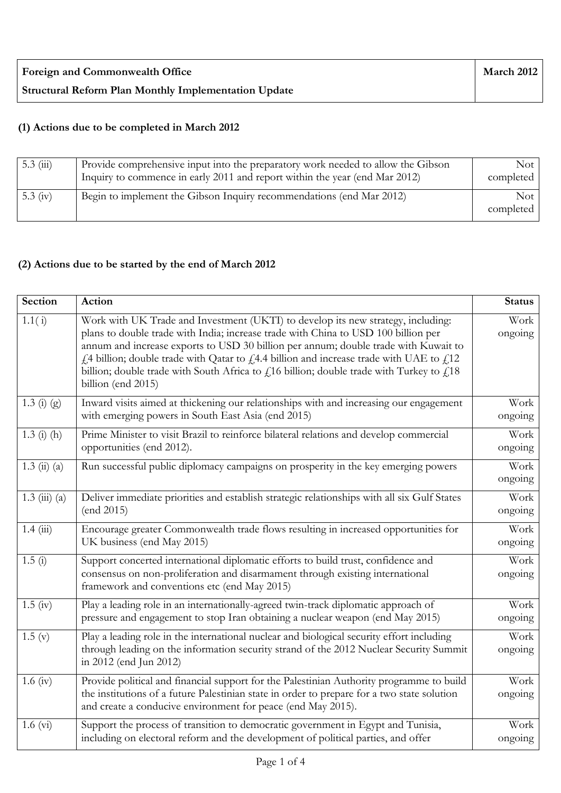## **(1) Actions due to be completed in March 2012**

| $5.3 \ (iii)$ | Provide comprehensive input into the preparatory work needed to allow the Gibson<br>Inquiry to commence in early 2011 and report within the year (end Mar 2012) | Not 1<br>completed |
|---------------|-----------------------------------------------------------------------------------------------------------------------------------------------------------------|--------------------|
| 5.3 $(iv)$    | Begin to implement the Gibson Inquiry recommendations (end Mar 2012)                                                                                            | Not 1<br>completed |

## **(2) Actions due to be started by the end of March 2012**

| Section                            | <b>Action</b>                                                                                                                                                                                                                                                                                                                                                                                                                                                                             | <b>Status</b>   |
|------------------------------------|-------------------------------------------------------------------------------------------------------------------------------------------------------------------------------------------------------------------------------------------------------------------------------------------------------------------------------------------------------------------------------------------------------------------------------------------------------------------------------------------|-----------------|
| 1.1(i)                             | Work with UK Trade and Investment (UKTI) to develop its new strategy, including:<br>plans to double trade with India; increase trade with China to USD 100 billion per<br>annum and increase exports to USD 30 billion per annum; double trade with Kuwait to<br>$f1$ 4 billion; double trade with Qatar to $f1$ 4.4 billion and increase trade with UAE to $f112$<br>billion; double trade with South Africa to $fi16$ billion; double trade with Turkey to $fi18$<br>billion (end 2015) | Work<br>ongoing |
| $1.3(j)$ (g)                       | Inward visits aimed at thickening our relationships with and increasing our engagement<br>with emerging powers in South East Asia (end 2015)                                                                                                                                                                                                                                                                                                                                              | Work<br>ongoing |
| $1.3$ (i) (h)                      | Prime Minister to visit Brazil to reinforce bilateral relations and develop commercial<br>opportunities (end 2012).                                                                                                                                                                                                                                                                                                                                                                       | Work<br>ongoing |
| $1.3 \; \text{(ii)} \; \text{(a)}$ | Run successful public diplomacy campaigns on prosperity in the key emerging powers                                                                                                                                                                                                                                                                                                                                                                                                        | Work<br>ongoing |
| $1.3 \ (iii) \ (a)$                | Deliver immediate priorities and establish strategic relationships with all six Gulf States<br>(end 2015)                                                                                                                                                                                                                                                                                                                                                                                 | Work<br>ongoing |
| 1.4(iii)                           | Encourage greater Commonwealth trade flows resulting in increased opportunities for<br>UK business (end May 2015)                                                                                                                                                                                                                                                                                                                                                                         | Work<br>ongoing |
| 1.5(i)                             | Support concerted international diplomatic efforts to build trust, confidence and<br>consensus on non-proliferation and disarmament through existing international<br>framework and conventions etc (end May 2015)                                                                                                                                                                                                                                                                        | Work<br>ongoing |
| $1.5 \text{ (iv)}$                 | Play a leading role in an internationally-agreed twin-track diplomatic approach of<br>pressure and engagement to stop Iran obtaining a nuclear weapon (end May 2015)                                                                                                                                                                                                                                                                                                                      | Work<br>ongoing |
| 1.5(y)                             | Play a leading role in the international nuclear and biological security effort including<br>through leading on the information security strand of the 2012 Nuclear Security Summit<br>in 2012 (end Jun 2012)                                                                                                                                                                                                                                                                             | Work<br>ongoing |
| $1.6 \text{ (iv)}$                 | Provide political and financial support for the Palestinian Authority programme to build<br>the institutions of a future Palestinian state in order to prepare for a two state solution<br>and create a conducive environment for peace (end May 2015).                                                                                                                                                                                                                                   | Work<br>ongoing |
| $1.6 \text{ (vi)}$                 | Support the process of transition to democratic government in Egypt and Tunisia,<br>including on electoral reform and the development of political parties, and offer                                                                                                                                                                                                                                                                                                                     | Work<br>ongoing |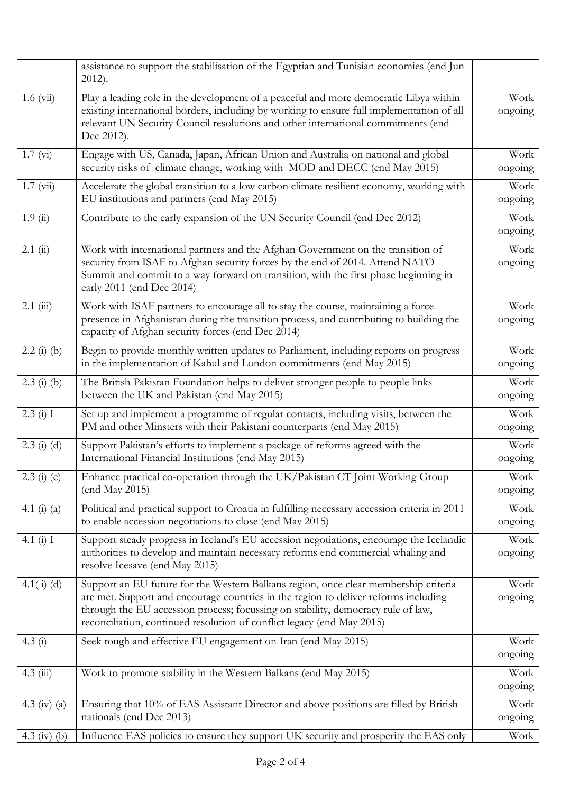|                 | assistance to support the stabilisation of the Egyptian and Tunisian economies (end Jun<br>$2012$ ).                                                                                                                                                                                                                                     |                 |
|-----------------|------------------------------------------------------------------------------------------------------------------------------------------------------------------------------------------------------------------------------------------------------------------------------------------------------------------------------------------|-----------------|
| $1.6 \ (vi)$    | Play a leading role in the development of a peaceful and more democratic Libya within<br>existing international borders, including by working to ensure full implementation of all<br>relevant UN Security Council resolutions and other international commitments (end<br>Dec 2012).                                                    | Work<br>ongoing |
| 1.7 (vi)        | Engage with US, Canada, Japan, African Union and Australia on national and global<br>security risks of climate change, working with MOD and DECC (end May 2015)                                                                                                                                                                          | Work<br>ongoing |
| $1.7 \ (vi)$    | Accelerate the global transition to a low carbon climate resilient economy, working with<br>EU institutions and partners (end May 2015)                                                                                                                                                                                                  | Work<br>ongoing |
| 1.9(i)          | Contribute to the early expansion of the UN Security Council (end Dec 2012)                                                                                                                                                                                                                                                              | Work<br>ongoing |
| 2.1(i)          | Work with international partners and the Afghan Government on the transition of<br>security from ISAF to Afghan security forces by the end of 2014. Attend NATO<br>Summit and commit to a way forward on transition, with the first phase beginning in<br>early 2011 (end Dec 2014)                                                      | Work<br>ongoing |
| $2.1$ (iii)     | Work with ISAF partners to encourage all to stay the course, maintaining a force<br>presence in Afghanistan during the transition process, and contributing to building the<br>capacity of Afghan security forces (end Dec 2014)                                                                                                         | Work<br>ongoing |
| $2.2$ (i) (b)   | Begin to provide monthly written updates to Parliament, including reports on progress<br>in the implementation of Kabul and London commitments (end May 2015)                                                                                                                                                                            | Work<br>ongoing |
| $2.3$ (i) (b)   | The British Pakistan Foundation helps to deliver stronger people to people links<br>between the UK and Pakistan (end May 2015)                                                                                                                                                                                                           | Work<br>ongoing |
| 2.3(i) I        | Set up and implement a programme of regular contacts, including visits, between the<br>PM and other Minsters with their Pakistani counterparts (end May 2015)                                                                                                                                                                            | Work<br>ongoing |
| $2.3$ (i) (d)   | Support Pakistan's efforts to implement a package of reforms agreed with the<br>International Financial Institutions (end May 2015)                                                                                                                                                                                                      | Work<br>ongoing |
| $2.3$ (i) (e)   | Enhance practical co-operation through the UK/Pakistan CT Joint Working Group<br>(end May 2015)                                                                                                                                                                                                                                          | Work<br>ongoing |
| 4.1 $(i)$ $(a)$ | Political and practical support to Croatia in fulfilling necessary accession criteria in 2011<br>to enable accession negotiations to close (end May 2015)                                                                                                                                                                                | Work<br>ongoing |
| 4.1 $(i)$ I     | Support steady progress in Iceland's EU accession negotiations, encourage the Icelandic<br>authorities to develop and maintain necessary reforms end commercial whaling and<br>resolve Icesave (end May 2015)                                                                                                                            | Work<br>ongoing |
| 4.1 $(i)$ (d)   | Support an EU future for the Western Balkans region, once clear membership criteria<br>are met. Support and encourage countries in the region to deliver reforms including<br>through the EU accession process; focussing on stability, democracy rule of law,<br>reconciliation, continued resolution of conflict legacy (end May 2015) | Work<br>ongoing |
| 4.3 $(i)$       | Seek tough and effective EU engagement on Iran (end May 2015)                                                                                                                                                                                                                                                                            | Work<br>ongoing |
| 4.3 (iii)       | Work to promote stability in the Western Balkans (end May 2015)                                                                                                                                                                                                                                                                          | Work<br>ongoing |
| 4.3 (iv) (a)    | Ensuring that 10% of EAS Assistant Director and above positions are filled by British<br>nationals (end Dec 2013)                                                                                                                                                                                                                        | Work<br>ongoing |
| 4.3 (iv) (b)    | Influence EAS policies to ensure they support UK security and prosperity the EAS only                                                                                                                                                                                                                                                    | Work            |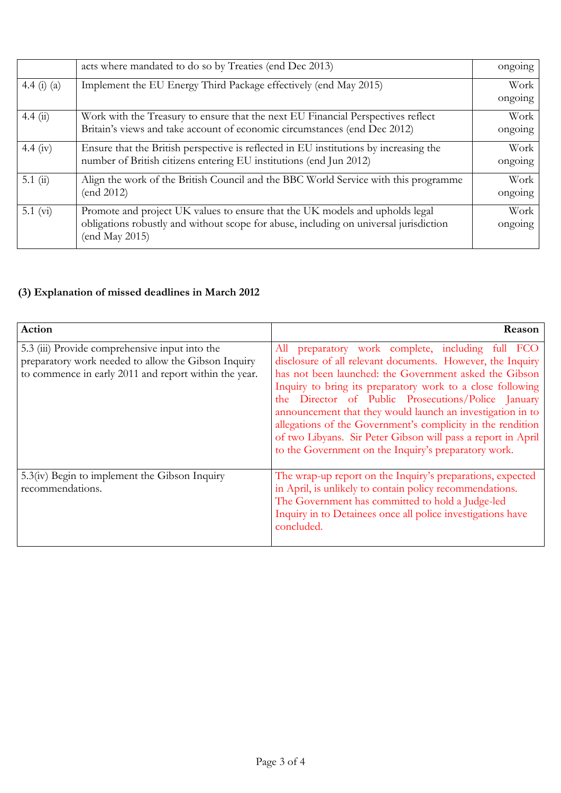|             | acts where mandated to do so by Treaties (end Dec 2013)                                                                                                                                 | ongoing         |
|-------------|-----------------------------------------------------------------------------------------------------------------------------------------------------------------------------------------|-----------------|
| 4.4 (i) (a) | Implement the EU Energy Third Package effectively (end May 2015)                                                                                                                        | Work<br>ongoing |
| 4.4(i)      | Work with the Treasury to ensure that the next EU Financial Perspectives reflect<br>Britain's views and take account of economic circumstances (end Dec 2012)                           | Work<br>ongoing |
| 4.4 (iv)    | Ensure that the British perspective is reflected in EU institutions by increasing the<br>number of British citizens entering EU institutions (end Jun 2012)                             | Work<br>ongoing |
| 5.1 $(ii)$  | Align the work of the British Council and the BBC World Service with this programme<br>(end 2012)                                                                                       | Work<br>ongoing |
| 5.1 $(v_i)$ | Promote and project UK values to ensure that the UK models and upholds legal<br>obligations robustly and without scope for abuse, including on universal jurisdiction<br>(end May 2015) | Work<br>ongoing |

## **(3) Explanation of missed deadlines in March 2012**

| Action                                                                                                                                                         | Reason                                                                                                                                                                                                                                                                                                                                                                                                                                                                                                                                                |
|----------------------------------------------------------------------------------------------------------------------------------------------------------------|-------------------------------------------------------------------------------------------------------------------------------------------------------------------------------------------------------------------------------------------------------------------------------------------------------------------------------------------------------------------------------------------------------------------------------------------------------------------------------------------------------------------------------------------------------|
| 5.3 (iii) Provide comprehensive input into the<br>preparatory work needed to allow the Gibson Inquiry<br>to commence in early 2011 and report within the year. | preparatory work complete, including full FCO<br>All<br>disclosure of all relevant documents. However, the Inquiry<br>has not been launched: the Government asked the Gibson<br>Inquiry to bring its preparatory work to a close following<br>the Director of Public Prosecutions/Police January<br>announcement that they would launch an investigation in to<br>allegations of the Government's complicity in the rendition<br>of two Libyans. Sir Peter Gibson will pass a report in April<br>to the Government on the Inquiry's preparatory work. |
| $5.3$ (iv) Begin to implement the Gibson Inquiry<br>recommendations.                                                                                           | The wrap-up report on the Inquiry's preparations, expected<br>in April, is unlikely to contain policy recommendations.<br>The Government has committed to hold a Judge-led<br>Inquiry in to Detainees once all police investigations have<br>concluded.                                                                                                                                                                                                                                                                                               |